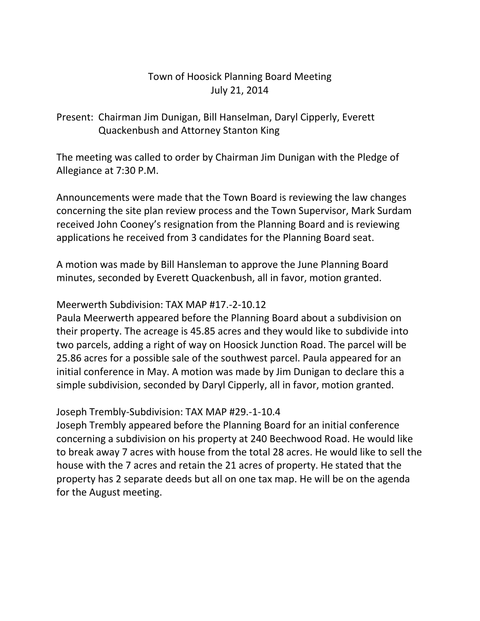## Town of Hoosick Planning Board Meeting July 21, 2014

# Present: Chairman Jim Dunigan, Bill Hanselman, Daryl Cipperly, Everett Quackenbush and Attorney Stanton King

The meeting was called to order by Chairman Jim Dunigan with the Pledge of Allegiance at 7:30 P.M.

Announcements were made that the Town Board is reviewing the law changes concerning the site plan review process and the Town Supervisor, Mark Surdam received John Cooney's resignation from the Planning Board and is reviewing applications he received from 3 candidates for the Planning Board seat.

A motion was made by Bill Hansleman to approve the June Planning Board minutes, seconded by Everett Quackenbush, all in favor, motion granted.

### Meerwerth Subdivision: TAX MAP #17.-2-10.12

Paula Meerwerth appeared before the Planning Board about a subdivision on their property. The acreage is 45.85 acres and they would like to subdivide into two parcels, adding a right of way on Hoosick Junction Road. The parcel will be 25.86 acres for a possible sale of the southwest parcel. Paula appeared for an initial conference in May. A motion was made by Jim Dunigan to declare this a simple subdivision, seconded by Daryl Cipperly, all in favor, motion granted.

#### Joseph Trembly-Subdivision: TAX MAP #29.-1-10.4

Joseph Trembly appeared before the Planning Board for an initial conference concerning a subdivision on his property at 240 Beechwood Road. He would like to break away 7 acres with house from the total 28 acres. He would like to sell the house with the 7 acres and retain the 21 acres of property. He stated that the property has 2 separate deeds but all on one tax map. He will be on the agenda for the August meeting.